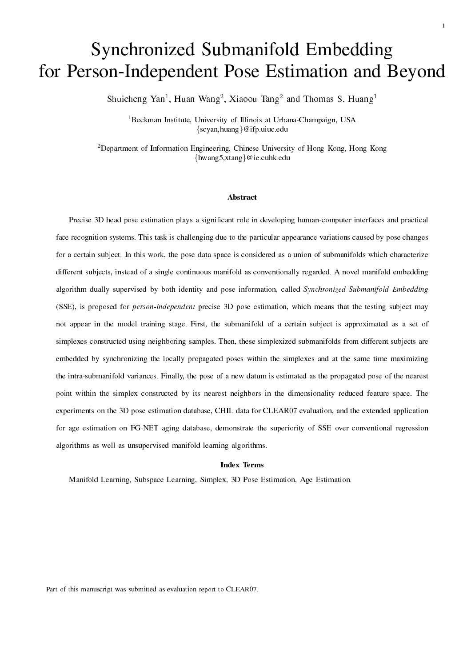# Synchronized Submanifold Embedding for Person-Independent Pose Estimation and Beyond

Shuicheng Yan<sup>1</sup>, Huan Wang<sup>2</sup>, Xiaoou Tang<sup>2</sup> and Thomas S. Huang<sup>1</sup>

<sup>1</sup>Beckman Institute, University of Illinois at Urbana-Champaign, USA {scyan,huang}@ifp.uiuc.edu

<sup>2</sup>Department of Information Engineering, Chinese University of Hong Kong, Hong Kong {hwang5,xtang}@ie.cuhk.edu

#### Abstract

Precise 3D head pose estimation plays a significant role in developing human-computer interfaces and practical face recognition systems. This task is challenging due to the particular appearance variations caused by pose changes for a certain subject. In this work, the pose data space is considered as a union of submanifolds which characterize different subjects, instead of a single continuous manifold as conventionally regarded. A novel manifold embedding algorithm dually supervised by both identity and pose information, called Synchronized Submanifold Embedding (SSE), is proposed for *person-independent* precise 3D pose estimation, which means that the testing subject may not appear in the model training stage. First, the submanifold of a certain subject is approximated as a set of simplexes constructed using neighboring samples. Then, these simplexized submanifolds from different subjects are embedded by synchronizing the locally propagated poses within the simplexes and at the same time maximizing the intra-submanifold variances. Finally, the pose of a new datum is estimated as the propagated pose of the nearest point within the simplex constructed by its nearest neighbors in the dimensionality reduced feature space. The experiments on the 3D pose estimation database, CHIL data for CLEAR07 evaluation, and the extended application for age estimation on FG-NET aging database, demonstrate the superiority of SSE over conventional regression algorithms as well as unsupervised manifold learning algorithms.

### Index Terms

Manifold Learning, Subspace Learning, Simplex, 3D Pose Estimation, Age Estimation.

Part of this manuscript was submitted as evaluation report to CLEAR07.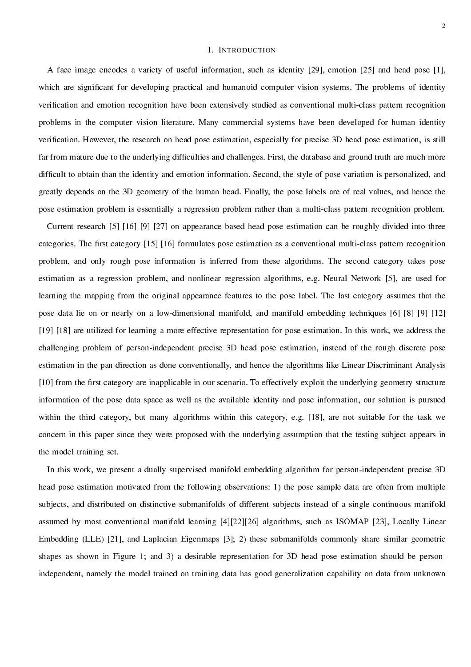## I. INTRODUCTION

A face image encodes a variety of useful information, such as identity [29], emotion [25] and head pose [1], which are significant for developing practical and humanoid computer vision systems. The problems of identity verification and emotion recognition have been extensively studied as conventional multi-class pattern recognition problems in the computer vision literature. Many commercial systems have been developed for human identity verification. However, the research on head pose estimation, especially for precise 3D head pose estimation, is still far from mature due to the underlying difficulties and challenges. First, the database and ground truth are much more difficult to obtain than the identity and emotion information. Second, the style of pose variation is personalized, and greatly depends on the 3D geometry of the human head. Finally, the pose labels are of real values, and hence the pose estimation problem is essentially a regression problem rather than a multi-class pattern recognition problem.

Current research [5] [16] [9] [27] on appearance based head pose estimation can be roughly divided into three categories. The first category [15] [16] formulates pose estimation as a conventional multi-class pattern recognition problem, and only rough pose information is inferred from these algorithms. The second category takes pose estimation as a regression problem, and nonlinear regression algorithms, e.g. Neural Network [5], are used for learning the mapping from the original appearance features to the pose label. The last category assumes that the pose data lie on or nearly on a low-dimensional manifold, and manifold embedding techniques [6] [8] [9] [12] [19] [18] are utilized for learning a more effective representation for pose estimation. In this work, we address the challenging problem of person-independent precise 3D head pose estimation, instead of the rough discrete pose estimation in the pan direction as done conventionally, and hence the algorithms like Linear Discriminant Analysis [10] from the first category are inapplicable in our scenario. To effectively exploit the underlying geometry structure information of the pose data space as well as the available identity and pose information, our solution is pursued within the third category, but many algorithms within this category, e.g. [18], are not suitable for the task we concern in this paper since they were proposed with the underlying assumption that the testing subject appears in the model training set.

In this work, we present a dually supervised manifold embedding algorithm for person-independent precise 3D head pose estimation motivated from the following observations: 1) the pose sample data are often from multiple subjects, and distributed on distinctive submanifolds of different subjects instead of a single continuous manifold assumed by most conventional manifold learning [4][22][26] algorithms, such as ISOMAP [23], Locally Linear Embedding (LLE) [21], and Laplacian Eigenmaps [3]; 2) these submanifolds commonly share similar geometric shapes as shown in Figure 1; and 3) a desirable representation for 3D head pose estimation should be personindependent, namely the model trained on training data has good generalization capability on data from unknown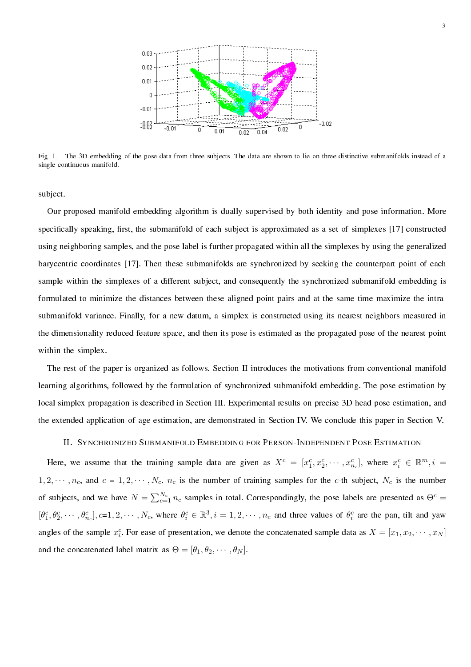

Fig. 1. The 3D embedding of the pose data from three subjects. The data are shown to lie on three distinctive submanifolds instead of a single continuous manifold.

subject.

Our proposed manifold embedding algorithm is dually supervised by both identity and pose information. More specifically speaking, first, the submanifold of each subject is approximated as a set of simplexes [17] constructed using neighboring samples, and the pose label is further propagated within all the simplexes by using the generalized barycentric coordinates [17]. Then these submanifolds are synchronized by seeking the counterpart point of each sample within the simplexes of a different subject, and consequently the synchronized submanifold embedding is formulated to minimize the distances between these aligned point pairs and at the same time maximize the intrasubmanifold variance. Finally, for a new datum, a simplex is constructed using its nearest neighbors measured in the dimensionality reduced feature space, and then its pose is estimated as the propagated pose of the nearest point within the simplex.

The rest of the paper is organized as follows. Section II introduces the motivations from conventional manifold learning algorithms, followed by the formulation of synchronized submanifold embedding. The pose estimation by local simplex propagation is described in Section III. Experimental results on precise 3D head pose estimation, and the extended application of age estimation, are demonstrated in Section IV. We conclude this paper in Section V.

## II. SYNCHRONIZED SUBMANIFOLD EMBEDDING FOR PERSON-INDEPENDENT POSE ESTIMATION

Here, we assume that the training sample data are given as  $X^c = [x_1^c, x_2^c, \cdots, x_{n_c}^c]$ , where  $x_i^c \in \mathbb{R}^m, i =$  $1, 2, \dots, n_c$ , and  $c = 1, 2, \dots, N_c$ .  $n_c$  is the number of training samples for the c-th subject,  $N_c$  is the number of subjects, and we have  $N = \sum_{c=1}^{N_c} n_c$  samples in total. Correspondingly, the pose labels are presented as  $\Theta^c$  =  $[\theta_1^c, \theta_2^c, \cdots, \theta_{n_c}^c], c=1, 2, \cdots, N_c$ , where  $\theta_i^c \in \mathbb{R}^3, i=1, 2, \cdots, n_c$  and three values of  $\theta_i^c$  are the pan, tilt and yaw angles of the sample  $x_i^c$ . For ease of presentation, we denote the concatenated sample data as  $X = [x_1, x_2, \cdots, x_N]$ and the concatenated label matrix as  $\Theta = [\theta_1, \theta_2, \cdots, \theta_N]$ .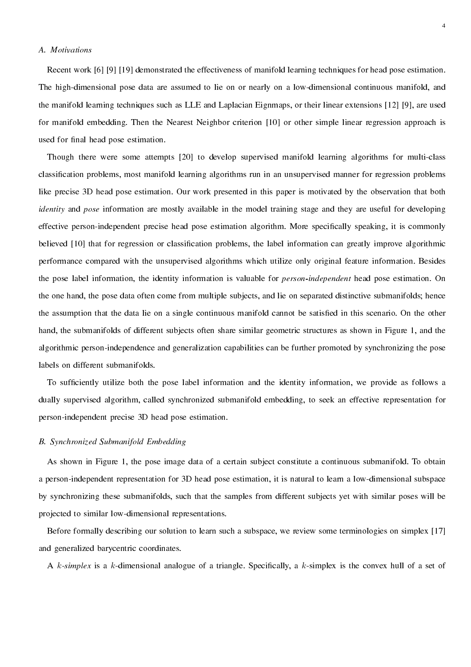## A. Motivations

Recent work [6] [9] [19] demonstrated the effectiveness of manifold learning techniques for head pose estimation. The high-dimensional pose data are assumed to lie on or nearly on a low-dimensional continuous manifold, and the manifold learning techniques such as LLE and Laplacian Eignmaps, or their linear extensions [12] [9], are used for manifold embedding. Then the Nearest Neighbor criterion [10] or other simple linear regression approach is used for final head pose estimation.

Though there were some attempts [20] to develop supervised manifold learning algorithms for multi-class classification problems, most manifold learning algorithms run in an unsupervised manner for regression problems like precise 3D head pose estimation. Our work presented in this paper is motivated by the observation that both identity and pose information are mostly available in the model training stage and they are useful for developing effective person-independent precise head pose estimation algorithm. More specifically speaking, it is commonly believed [10] that for regression or classification problems, the label information can greatly improve algorithmic performance compared with the unsupervised algorithms which utilize only original feature information. Besides the pose label information, the identity information is valuable for *person-independent* head pose estimation. On the one hand, the pose data often come from multiple subjects, and lie on separated distinctive submanifolds; hence the assumption that the data lie on a single continuous manifold cannot be satisfied in this scenario. On the other hand, the submanifolds of different subjects often share similar geometric structures as shown in Figure 1, and the algorithmic person-independence and generalization capabilities can be further promoted by synchronizing the pose labels on different submanifolds.

To sufficiently utilize both the pose label information and the identity information, we provide as follows a dually supervised algorithm, called synchronized submanifold embedding, to seek an effective representation for person-independent precise 3D head pose estimation.

#### B. Synchronized Submanifold Embedding

As shown in Figure 1, the pose image data of a certain subject constitute a continuous submanifold. To obtain a person-independent representation for 3D head pose estimation, it is natural to learn a low-dimensional subspace by synchronizing these submanifolds, such that the samples from different subjects yet with similar poses will be projected to similar low-dimensional representations.

Before formally describing our solution to learn such a subspace, we review some terminologies on simplex [17] and generalized barycentric coordinates.

A k-simplex is a k-dimensional analogue of a triangle. Specifically, a k-simplex is the convex hull of a set of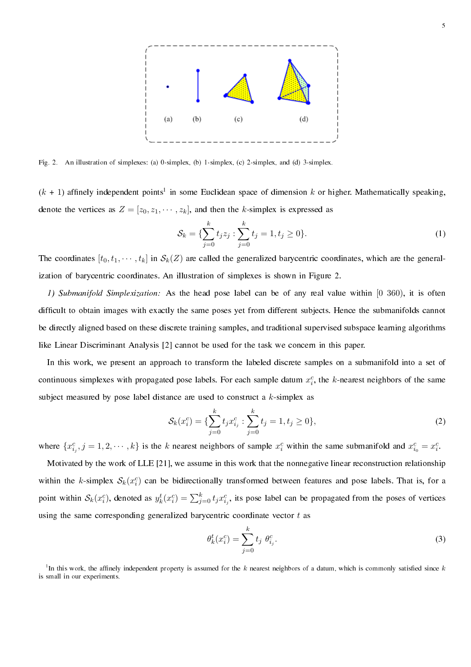

Fig. 2. An illustration of simplexes: (a) 0-simplex, (b) 1-simplex, (c) 2-simplex, and (d) 3-simplex.

 $(k + 1)$  affinely independent points<sup>1</sup> in some Euclidean space of dimension k or higher. Mathematically speaking, denote the vertices as  $Z = [z_0, z_1, \dots, z_k]$ , and then the k-simplex is expressed as

$$
\mathcal{S}_k = \{ \sum_{j=0}^k t_j z_j : \sum_{j=0}^k t_j = 1, t_j \ge 0 \}.
$$
 (1)

The coordinates  $[t_0, t_1, \dots, t_k]$  in  $\mathcal{S}_k(Z)$  are called the generalized barycentric coordinates, which are the generalization of barycentric coordinates. An illustration of simplexes is shown in Figure 2.

1) Submanifold Simplexization: As the head pose label can be of any real value within [0 360], it is often difficult to obtain images with exactly the same poses yet from different subjects. Hence the submanifolds cannot be directly aligned based on these discrete training samples, and traditional supervised subspace learning algorithms like Linear Discriminant Analysis [2] cannot be used for the task we concern in this paper.

In this work, we present an approach to transform the labeled discrete samples on a submanifold into a set of continuous simplexes with propagated pose labels. For each sample datum  $x_i^c$ , the k-nearest neighbors of the same subject measured by pose label distance are used to construct a  $k$ -simplex as

$$
\mathcal{S}_k(x_i^c) = \{ \sum_{j=0}^k t_j x_{i_j}^c : \sum_{j=0}^k t_j = 1, t_j \ge 0 \},\tag{2}
$$

where  $\{x_{i_j}^c, j = 1, 2, \dots, k\}$  is the k nearest neighbors of sample  $x_i^c$  within the same submanifold and  $x_{i_0}^c = x_i^c$ . Motivated by the work of LLE [21], we assume in this work that the nonnegative linear reconstruction relationship within the k-simplex  $S_k(x_i^c)$  can be bidirectionally transformed between features and pose labels. That is, for a point within  $S_k(x_i^c)$ , denoted as  $y_k^t(x_i^c) = \sum_{j=0}^k t_j x_{i_j}^c$ , its pose label can be propagated from the poses of vertices using the same corresponding generalized barycentric coordinate vector  $t$  as

$$
\theta_k^t(x_i^c) = \sum_{j=0}^k t_j \ \theta_{i_j}^c. \tag{3}
$$

<sup>&</sup>lt;sup>1</sup>In this work, the affinely independent property is assumed for the k nearest neighbors of a datum, which is commonly satisfied since k is small in our experiments.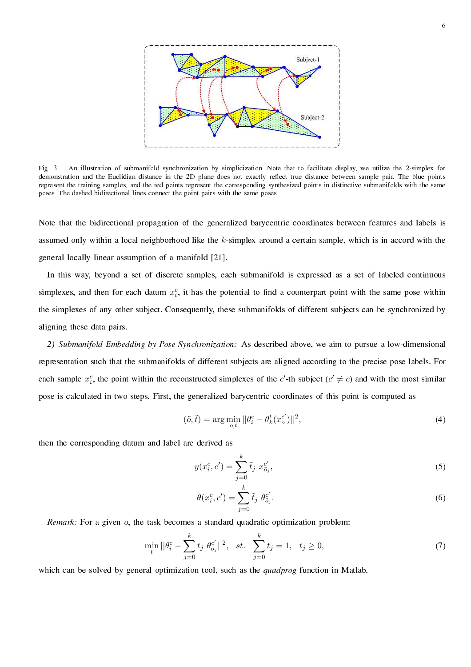

Fig. 3. An illustration of submanifold synchronization by simplicization. Note that to facilitate display, we utilize the 2-simplex for demonstration and the Euclidian distance in the 2D plane does not exactly reflect true distance between sample pair. The blue points represent the training samples, and the red points represent the corresponding synthesized points in distinctive submanifolds with the same poses. The dashed bidirectional lines connect the point pairs with the same poses.

Note that the bidirectional propagation of the generalized barycentric coordinates between features and labels is assumed only within a local neighborhood like the k-simplex around a certain sample, which is in accord with the general locally linear assumption of a manifold [21].

In this way, beyond a set of discrete samples, each submanifold is expressed as a set of labeled continuous simplexes, and then for each datum  $x_i^c$ , it has the potential to find a counterpart point with the same pose within the simplexes of any other subject. Consequently, these submanifolds of different subjects can be synchronized by aligning these data pairs.

2) Submanifold Embedding by Pose Synchronization: As described above, we aim to pursue a low-dimensional representation such that the submanifolds of different subjects are aligned according to the precise pose labels. For each sample  $x_i^c$ , the point within the reconstructed simplexes of the c'-th subject ( $c' \neq c$ ) and with the most similar pose is calculated in two steps. First, the generalized barycentric coordinates of this point is computed as

$$
(\tilde{o}, \tilde{t}) = \arg\min_{o,t} ||\theta_i^c - \theta_k^t(x_o^{c'})||^2,
$$
\n
$$
(4)
$$

then the corresponding datum and label are derived as

$$
y(x_i^c, c') = \sum_{j=0}^k \tilde{t}_j \ x_{\tilde{o}_j}^{c'}, \tag{5}
$$

$$
\theta(x_i^c, c') = \sum_{j=0}^k \tilde{t}_j \ \theta_{\tilde{o}_j}^{c'}.
$$
\n
$$
(6)
$$

Remark: For a given o, the task becomes a standard quadratic optimization problem:

$$
\min_{t} ||\theta_i^c - \sum_{j=0}^k t_j \ \theta_{o_j}^{c'}||^2, \quad st. \quad \sum_{j=0}^k t_j = 1, \quad t_j \ge 0,
$$
\n(7)

which can be solved by general optimization tool, such as the *quadprog* function in Matlab.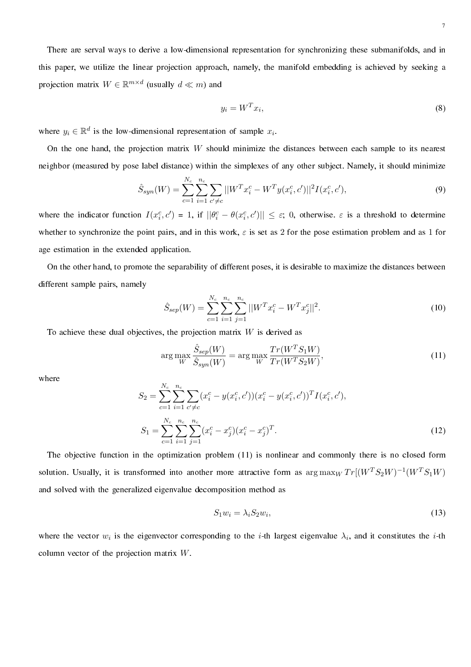There are serval ways to derive a low-dimensional representation for synchronizing these submanifolds, and in this paper, we utilize the linear projection approach, namely, the manifold embedding is achieved by seeking a projection matrix  $W \in \mathbb{R}^{m \times d}$  (usually  $d \ll m$ ) and

$$
y_i = W^T x_i,\tag{8}
$$

where  $y_i \in \mathbb{R}^d$  is the low-dimensional representation of sample  $x_i$ .

On the one hand, the projection matrix  $W$  should minimize the distances between each sample to its nearest neighbor (measured by pose label distance) within the simplexes of any other subject. Namely, it should minimize

$$
\hat{S}_{syn}(W) = \sum_{c=1}^{N_c} \sum_{i=1}^{n_c} \sum_{c' \neq c} ||W^T x_i^c - W^T y(x_i^c, c')||^2 I(x_i^c, c'),
$$
\n(9)

where the indicator function  $I(x_i^c, c') = 1$ , if  $||\theta_i^c - \theta(x_i^c, c')|| \leq \varepsilon$ ; 0, otherwise.  $\varepsilon$  is a threshold to determine whether to synchronize the point pairs, and in this work,  $\varepsilon$  is set as 2 for the pose estimation problem and as 1 for age estimation in the extended application.

On the other hand, to promote the separability of different poses, it is desirable to maximize the distances between different sample pairs, namely

$$
\hat{S}_{sep}(W) = \sum_{c=1}^{N_c} \sum_{i=1}^{n_c} \sum_{j=1}^{n_c} ||W^T x_i^c - W^T x_j^c||^2.
$$
\n(10)

To achieve these dual objectives, the projection matrix  $W$  is derived as

$$
\arg\max_{W} \frac{\hat{S}_{sep}(W)}{\hat{S}_{syn}(W)} = \arg\max_{W} \frac{Tr(W^T S_1 W)}{Tr(W^T S_2 W)},
$$
\n(11)

where

$$
S_2 = \sum_{c=1}^{N_c} \sum_{i=1}^{n_c} \sum_{c' \neq c} (x_i^c - y(x_i^c, c')) (x_i^c - y(x_i^c, c'))^T I(x_i^c, c'),
$$
  
\n
$$
S_1 = \sum_{c=1}^{N_c} \sum_{i=1}^{n_c} \sum_{j=1}^{n_c} (x_i^c - x_j^c) (x_i^c - x_j^c)^T.
$$
\n(12)

The objective function in the optimization problem (11) is nonlinear and commonly there is no closed form solution. Usually, it is transformed into another more attractive form as  $\argmax_W Tr[(W^TS_2W)^{-1}(W^TS_1W)$ and solved with the generalized eigenvalue decomposition method as

$$
S_1 w_i = \lambda_i S_2 w_i,\tag{13}
$$

where the vector  $w_i$  is the eigenvector corresponding to the *i*-th largest eigenvalue  $\lambda_i$ , and it constitutes the *i*-th column vector of the projection matrix W.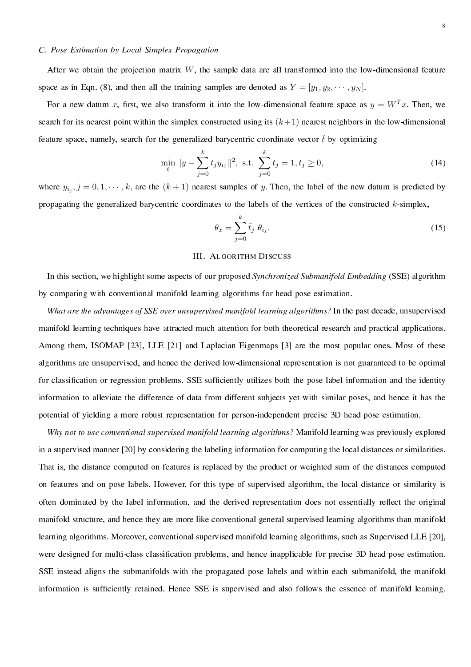# C. Pose Estimation by Local Simplex Propagation

After we obtain the projection matrix  $W$ , the sample data are all transformed into the low-dimensional feature space as in Eqn. (8), and then all the training samples are denoted as  $Y = [y_1, y_2, \dots, y_N]$ .

For a new datum x, first, we also transform it into the low-dimensional feature space as  $y = W<sup>T</sup>x$ . Then, we search for its nearest point within the simplex constructed using its  $(k+1)$  nearest neighbors in the low-dimensional feature space, namely, search for the generalized barycentric coordinate vector  $\tilde{t}$  by optimizing

$$
\min_{t} ||y - \sum_{j=0}^{k} t_j y_{i_j}||^2, \text{ s.t. } \sum_{j=0}^{k} t_j = 1, t_j \ge 0,
$$
\n(14)

where  $y_{i_j}$ ,  $j = 0, 1, \dots, k$ , are the  $(k + 1)$  nearest samples of y. Then, the label of the new datum is predicted by propagating the generalized barycentric coordinates to the labels of the vertices of the constructed  $k$ -simplex,

$$
\theta_x = \sum_{j=0}^k \tilde{t}_j \ \theta_{i_j}.\tag{15}
$$

## III. ALGORITHM DISCUSS

In this section, we highlight some aspects of our proposed Synchronized Submanifold Embedding (SSE) algorithm by comparing with conventional manifold learning algorithms for head pose estimation.

What are the advantages of SSE over unsupervised manifold learning algorithms? In the past decade, unsupervised manifold learning techniques have attracted much attention for both theoretical research and practical applications. Among them, ISOMAP [23], LLE [21] and Laplacian Eigenmaps [3] are the most popular ones. Most of these algorithms are unsupervised, and hence the derived low-dimensional representation is not guaranteed to be optimal for classification or regression problems. SSE sufficiently utilizes both the pose label information and the identity information to alleviate the difference of data from different subjects yet with similar poses, and hence it has the potential of yielding a more robust representation for person-independent precise 3D head pose estimation.

Why not to use conventional supervised manifold learning algorithms? Manifold learning was previously explored in a supervised manner [20] by considering the labeling information for computing the local distances or similarities. That is, the distance computed on features is replaced by the product or weighted sum of the distances computed on features and on pose labels. However, for this type of supervised algorithm, the local distance or similarity is often dominated by the label information, and the derived representation does not essentially reflect the original manifold structure, and hence they are more like conventional general supervised learning algorithms than manifold learning algorithms. Moreover, conventional supervised manifold learning algorithms, such as Supervised LLE [20], were designed for multi-class classification problems, and hence inapplicable for precise 3D head pose estimation. SSE instead aligns the submanifolds with the propagated pose labels and within each submanifold, the manifold information is sufficiently retained. Hence SSE is supervised and also follows the essence of manifold learning.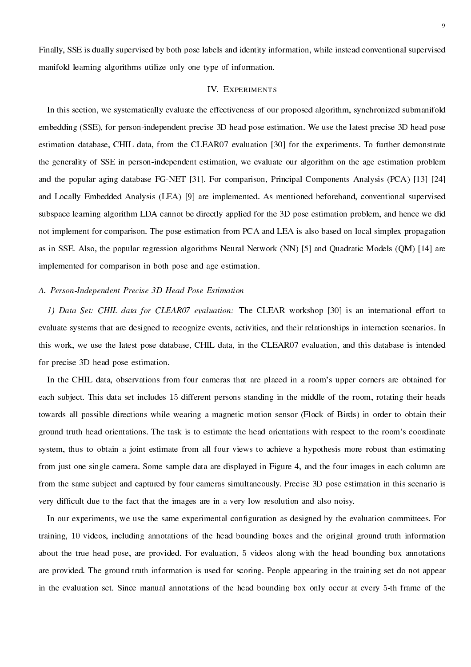Finally, SSE is dually supervised by both pose labels and identity information, while instead conventional supervised manifold learning algorithms utilize only one type of information.

## IV. EXPERIMENTS

In this section, we systematically evaluate the effectiveness of our proposed algorithm, synchronized submanifold embedding (SSE), for person-independent precise 3D head pose estimation. We use the latest precise 3D head pose estimation database, CHIL data, from the CLEAR07 evaluation [30] for the experiments. To further demonstrate the generality of SSE in person-independent estimation, we evaluate our algorithm on the age estimation problem and the popular aging database FG-NET [31]. For comparison, Principal Components Analysis (PCA) [13] [24] and Locally Embedded Analysis (LEA) [9] are implemented. As mentioned beforehand, conventional supervised subspace learning algorithm LDA cannot be directly applied for the 3D pose estimation problem, and hence we did not implement for comparison. The pose estimation from PCA and LEA is also based on local simplex propagation as in SSE. Also, the popular regression algorithms Neural Network (NN) [5] and Quadratic Models (QM) [14] are implemented for comparison in both pose and age estimation.

## A. Person-Independent Precise 3D Head Pose Estimation

1) Data Set: CHIL data for CLEAR07 evaluation: The CLEAR workshop [30] is an international effort to evaluate systems that are designed to recognize events, activities, and their relationships in interaction scenarios. In this work, we use the latest pose database, CHIL data, in the CLEAR07 evaluation, and this database is intended for precise 3D head pose estimation.

In the CHIL data, observations from four cameras that are placed in a room's upper corners are obtained for each subject. This data set includes 15 different persons standing in the middle of the room, rotating their heads towards all possible directions while wearing a magnetic motion sensor (Flock of Birds) in order to obtain their ground truth head orientations. The task is to estimate the head orientations with respect to the room's coordinate system, thus to obtain a joint estimate from all four views to achieve a hypothesis more robust than estimating from just one single camera. Some sample data are displayed in Figure 4, and the four images in each column are from the same subject and captured by four cameras simultaneously. Precise 3D pose estimation in this scenario is very difficult due to the fact that the images are in a very low resolution and also noisy.

In our experiments, we use the same experimental configuration as designed by the evaluation committees. For training, 10 videos, including annotations of the head bounding boxes and the original ground truth information about the true head pose, are provided. For evaluation, 5 videos along with the head bounding box annotations are provided. The ground truth information is used for scoring. People appearing in the training set do not appear in the evaluation set. Since manual annotations of the head bounding box only occur at every 5-th frame of the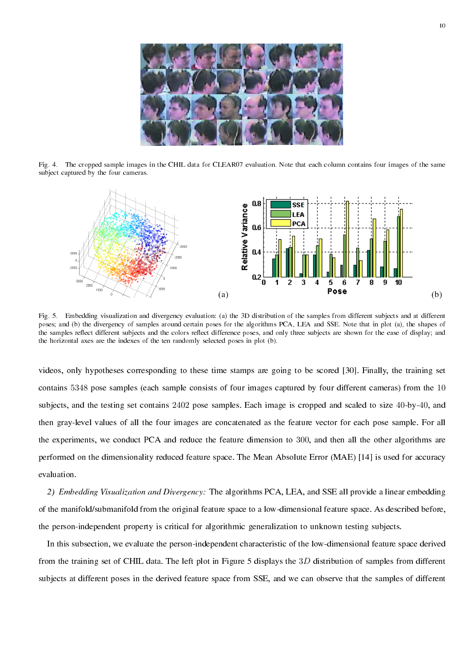

Fig. 4. The cropped sample images in the CHIL data for CLEAR07 evaluation. Note that each column contains four images of the same subject captured by the four cameras.



Fig. 5. Embedding visualization and divergency evaluation: (a) the 3D distribution of the samples from different subjects and at different poses; and (b) the divergency of samples around certain poses for the algorithms PCA, LEA and SSE. Note that in plot (a), the shapes of the samples reflect different subjects and the colors reflect difference poses, and only three subjects are shown for the ease of display; and the horizontal axes are the indexes of the ten randomly selected poses in plot (b).

videos, only hypotheses corresponding to these time stamps are going to be scored [30]. Finally, the training set contains 5348 pose samples (each sample consists of four images captured by four different cameras) from the 10 subjects, and the testing set contains 2402 pose samples. Each image is cropped and scaled to size 40-by-40, and then gray-level values of all the four images are concatenated as the feature vector for each pose sample. For all the experiments, we conduct PCA and reduce the feature dimension to 300, and then all the other algorithms are performed on the dimensionality reduced feature space. The Mean Absolute Error (MAE) [14] is used for accuracy evaluation.

2) Embedding Visualization and Divergency: The algorithms PCA, LEA, and SSE all provide a linear embedding of the manifold/submanifold from the original feature space to a low-dimensional feature space. As described before, the person-independent property is critical for algorithmic generalization to unknown testing subjects.

In this subsection, we evaluate the person-independent characteristic of the low-dimensional feature space derived from the training set of CHIL data. The left plot in Figure 5 displays the 3D distribution of samples from different subjects at different poses in the derived feature space from SSE, and we can observe that the samples of different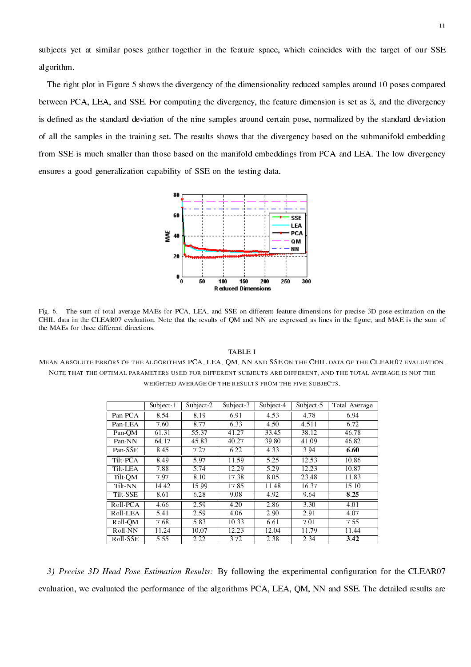subjects yet at similar poses gather together in the feature space, which coincides with the target of our SSE algorithm.

The right plot in Figure 5 shows the divergency of the dimensionality reduced samples around 10 poses compared between PCA, LEA, and SSE. For computing the divergency, the feature dimension is set as 3, and the divergency is defined as the standard deviation of the nine samples around certain pose, normalized by the standard deviation of all the samples in the training set. The results shows that the divergency based on the submanifold embedding from SSE is much smaller than those based on the manifold embeddings from PCA and LEA. The low divergency ensures a good generalization capability of SSE on the testing data.



Fig. 6. The sum of total average MAEs for PCA, LEA, and SSE on different feature dimensions for precise 3D pose estimation on the CHIL data in the CLEAR07 evaluation. Note that the results of QM and NN are expressed as lines in the figure, and MAE is the sum of the MAEs for three different directions.

TABLE I MEAN ABSOLUTE ERRORS OF THE ALGORITHMS PCA, LEA, QM, NN AND SSE ON THE CHIL DATA OF THE CLEAR07 EVALUATION. NOTE THAT THE OPTIMAL PARAMETERS USED FOR DIFFERENT SUBJECTS ARE DIFFERENT, AND THE TOTAL AVERAGE IS NOT THE WEIGHTED AVERAGE OF THE RESULTS FROM THE FIVE SUBJECTS.

|          | Subject-1 | $\overline{\text{Subject}}$ 2 | Subject-3 | Subject-4 | Subject-5 | Total Average |
|----------|-----------|-------------------------------|-----------|-----------|-----------|---------------|
| Pan-PCA  | 8.54      | 8.19                          | 6.91      | 4.53      | 4.78      | 6.94          |
| Pan-LEA  | 7.60      | 8.77                          | 6.33      | 4.50      | 4.511     | 6.72          |
| Pan OM   | 61.31     | 55.37                         | 41.27     | 33.45     | 38.12     | 46.78         |
| Pan NN   | 64.17     | 45.83                         | 40.27     | 39.80     | 41.09     | 46.82         |
| Pan-SSE  | 8.45      | 7.27                          | 6.22      | 4.33      | 3.94      | 6.60          |
| Tilt-PCA | 8.49      | 5.97                          | 11.59     | 5.25      | 12.53     | 10.86         |
| Tilt-LEA | 7.88      | 5.74                          | 12.29     | 5.29      | 12.23     | 10.87         |
| Tilt-OM  | 7.97      | 8.10                          | 17.38     | 8.05      | 23.48     | 11.83         |
| Tilt-NN  | 14.42     | 15.99                         | 17.85     | 11.48     | 16.37     | 15.10         |
| Tilt-SSE | 8.61      | 6.28                          | 9.08      | 4.92      | 9.64      | 8.25          |
| Roll PCA | 4.66      | 2.59                          | 4.20      | 2.86      | 3.30      | 4.01          |
| Roll-LEA | 5.41      | 2.59                          | 4.06      | 2.90      | 2.91      | 4.07          |
| Roll-OM  | 7.68      | 5.83                          | 10.33     | 6.61      | 7.01      | 7.55          |
| Roll-NN  | 11.24     | 10.07                         | 12.23     | 12.04     | 11.79     | 11.44         |
| Roll SSE | 5.55      | 2.22                          | 3.72      | 2.38      | 2.34      | 3.42          |

3) Precise 3D Head Pose Estimation Results: By following the experimental configuration for the CLEAR07 evaluation, we evaluated the performance of the algorithms PCA, LEA, QM, NN and SSE. The detailed results are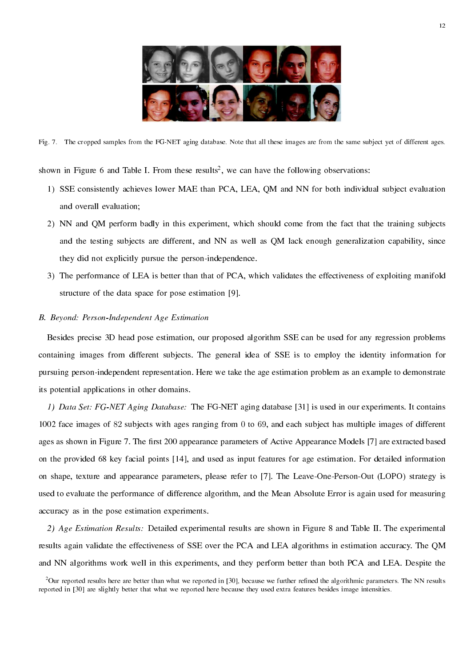

Fig. 7. The cropped samples from the FG-NET aging database. Note that all these images are from the same subject yet of different ages.

shown in Figure 6 and Table I. From these results<sup>2</sup>, we can have the following observations:

- 1) SSE consistently achieves lower MAE than PCA, LEA, QM and NN for both individual subject evaluation and overall evaluation;
- 2) NN and QM perform badly in this experiment, which should come from the fact that the training subjects and the testing subjects are different, and NN as well as QM lack enough generalization capability, since they did not explicitly pursue the person-independence.
- 3) The performance of LEA is better than that of PCA, which validates the effectiveness of exploiting manifold structure of the data space for pose estimation [9].

## B. Beyond: Person-Independent Age Estimation

Besides precise 3D head pose estimation, our proposed algorithm SSE can be used for any regression problems containing images from different subjects. The general idea of SSE is to employ the identity information for pursuing person-independent representation. Here we take the age estimation problem as an example to demonstrate its potential applications in other domains.

1) Data Set: FG-NET Aging Database: The FG-NET aging database [31] is used in our experiments. It contains 1002 face images of 82 subjects with ages ranging from 0 to 69, and each subject has multiple images of different ages as shown in Figure 7. The first 200 appearance parameters of Active Appearance Models [7] are extracted based on the provided 68 key facial points [14], and used as input features for age estimation. For detailed information on shape, texture and appearance parameters, please refer to [7]. The Leave-One-Person-Out (LOPO) strategy is used to evaluate the performance of difference algorithm, and the Mean Absolute Error is again used for measuring accuracy as in the pose estimation experiments.

2) Age Estimation Results: Detailed experimental results are shown in Figure 8 and Table II. The experimental results again validate the effectiveness of SSE over the PCA and LEA algorithms in estimation accuracy. The QM and NN algorithms work well in this experiments, and they perform better than both PCA and LEA. Despite the

 $2$ Our reported results here are better than what we reported in [30], because we further refined the algorithmic parameters. The NN results reported in [30] are slightly better that what we reported here because they used extra features besides image intensities.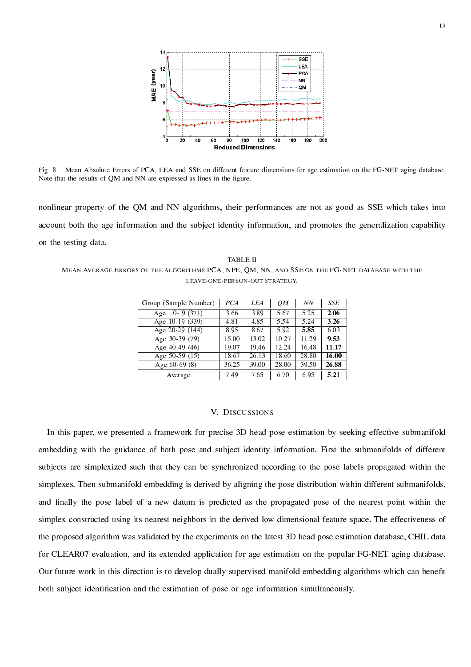

Fig. 8. Mean Absolute Errors of PCA, LEA and SSE on different feature dimensions for age estimation on the FG-NET aging database. Note that the results of QM and NN are expressed as lines in the figure.

nonlinear property of the QM and NN algorithms, their performances are not as good as SSE which takes into account both the age information and the subject identity information, and promotes the generalization capability on the testing data.

TABLE II MEAN AVERAGE ERRORS OF THE ALGORITHMS PCA, NPE, QM, NN, AND SSE ON THE FG-NET DATABASE WITH THE LEAVE-ONE-PERSON-OUT STRATEGY.

| Group (Sample Number) | PCA   | <b>LEA</b> | OΜ    | NN    | <b>SSE</b> |
|-----------------------|-------|------------|-------|-------|------------|
| $0 - 9(371)$<br>A ge  | 3.66  | 3.89       | 5.67  | 5.25  | 2.06       |
| Age 10-19 (339)       | 4.81  | 4.85       | 5.54  | 5.24  | 3.26       |
| Age 20-29 (144)       | 8.95  | 8.67       | 5.92  | 5.85  | 6.03       |
| Age 30-39 (79)        | 15.00 | 13.02      | 10.27 | 11.29 | 9.53       |
| Age 40-49 (46)        | 19.07 | 19.46      | 12.24 | 16.48 | 11.17      |
| Age 50-59 (15)        | 18.67 | 26.13      | 18.60 | 28.80 | 16.00      |
| Age $60-69(8)$        | 36.25 | 39.00      | 28.00 | 39.50 | 26.88      |
| Average               | 7.49  | 7.65       | 6.70  | 6.95  | 5.21       |

# V. DISCUSSIONS

In this paper, we presented a framework for precise 3D head pose estimation by seeking effective submanifold embedding with the guidance of both pose and subject identity information. First the submanifolds of different subjects are simplexized such that they can be synchronized according to the pose labels propagated within the simplexes. Then submanifold embedding is derived by aligning the pose distribution within different submanifolds, and finally the pose label of a new datum is predicted as the propagated pose of the nearest point within the simplex constructed using its nearest neighbors in the derived low-dimensional feature space. The effectiveness of the proposed algorithm was validated by the experiments on the latest 3D head pose estimation database, CHIL data for CLEAR07 evaluation, and its extended application for age estimation on the popular FG-NET aging database. Our future work in this direction is to develop dually supervised manifold embedding algorithms which can benefit both subject identification and the estimation of pose or age information simultaneously.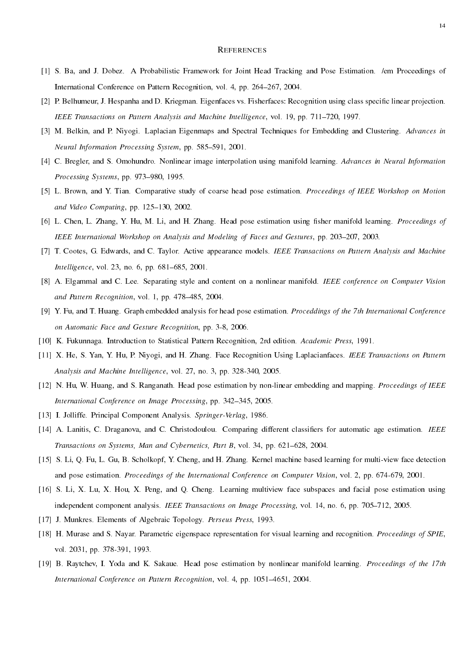#### **REFERENCES**

- [1] S. Ba, and J. Dobez. A Probabilistic Framework for Joint Head Tracking and Pose Estimation. /em Proceedings of International Conference on Pattern Recognition, vol. 4, pp. 264-267, 2004.
- [2] P. Belhumeur, J. Hespanha and D. Kriegman. Eigenfaces vs. Fisherfaces: Recognition using class specific linear projection. IEEE Transactions on Pattern Analysis and Machine Intelligence, vol. 19, pp. 711–720, 1997.
- [3] M. Belkin, and P. Niyogi. Laplacian Eigenmaps and Spectral Techniques for Embedding and Clustering. Advances in Neural Information Processing System, pp. 585–591, 2001.
- [4] C. Bregler, and S. Omohundro. Nonlinear image interpolation using manifold learning. Advances in Neural Information Processing Systems, pp. 973-980, 1995.
- [5] L. Brown, and Y. Tian. Comparative study of coarse head pose estimation. Proceedings of IEEE Workshop on Motion and Video Computing, pp.  $125-130$ ,  $2002$ .
- [6] L. Chen, L. Zhang, Y. Hu, M. Li, and H. Zhang. Head pose estimation using fisher manifold learning. Proceedings of IEEE International Workshop on Analysis and Modeling of Faces and Gestures, pp. 203–207, 2003.
- [7] T. Cootes, G. Edwards, and C. Taylor. Active appearance models. IEEE Transactions on Pattern Analysis and Machine *Intelligence*, vol. 23, no. 6, pp.  $681-685$ , 2001.
- [8] A. Elgammal and C. Lee. Separating style and content on a nonlinear manifold. IEEE conference on Computer Vision and Pattern Recognition, vol. 1, pp.  $478-485$ ,  $2004$ .
- [9] Y. Fu, and T. Huang. Graph embedded analysis for head pose estimation. Proceddings of the 7th International Conference on Automatic Face and Gesture Recognition, pp. 3-8, 2006.
- [10] K. Fukunnaga. Introduction to Statistical Pattern Recognition, 2rd edition. Academic Press, 1991.
- [11] X. He, S. Yan, Y. Hu, P. Niyogi, and H. Zhang. Face Recognition Using Laplacianfaces. IEEE Transactions on Pattern Analysis and Machine Intelligence, vol. 27, no. 3, pp. 328-340, 2005.
- [12] N. Hu, W. Huang, and S. Ranganath. Head pose estimation by non-linear embedding and mapping. *Proceedings of IEEE* International Conference on Image Processing, pp. 342-345, 2005.
- [13] I. Jolliffe. Principal Component Analysis. Springer-Verlag, 1986.
- [14] A. Lanitis, C. Draganova, and C. Christodoulou. Comparing different classifiers for automatic age estimation. IEEE Transactions on Systems, Man and Cybernetics, Part B, vol. 34, pp. 621–628, 2004.
- [15] S. Li, Q. Fu, L. Gu, B. Scholkopf, Y. Cheng, and H. Zhang. Kernel machine based learning for multi-view face detection and pose estimation. Proceedings of the International Conference on Computer Vision, vol. 2, pp. 674-679, 2001.
- [16] S. Li, X. Lu, X. Hou, X. Peng, and Q. Cheng. Learning multiview face subspaces and facial pose estimation using independent component analysis. IEEE Transactions on Image Processing, vol. 14, no. 6, pp. 705–712, 2005.
- [17] J. Munkres. Elements of Algebraic Topology. Perseus Press, 1993.
- [18] H. Murase and S. Nayar. Parametric eigenspace representation for visual learning and recognition. Proceedings of SPIE, vol. 2031, pp. 378-391, 1993.
- [19] B. Raytchev, I. Yoda and K. Sakaue. Head pose estimation by nonlinear manifold learning. Proceedings of the 17th International Conference on Pattern Recognition, vol. 4, pp. 1051-4651, 2004.